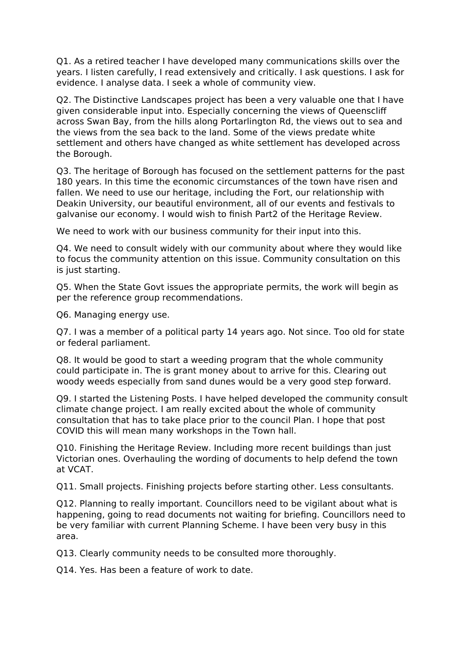Q1. As a retired teacher I have developed many communications skills over the years. I listen carefully, I read extensively and critically. I ask questions. I ask for evidence. I analyse data. I seek a whole of community view.

Q2. The Distinctive Landscapes project has been a very valuable one that I have given considerable input into. Especially concerning the views of Queenscliff across Swan Bay, from the hills along Portarlington Rd, the views out to sea and the views from the sea back to the land. Some of the views predate white settlement and others have changed as white settlement has developed across the Borough.

Q3. The heritage of Borough has focused on the settlement patterns for the past 180 years. In this time the economic circumstances of the town have risen and fallen. We need to use our heritage, including the Fort, our relationship with Deakin University, our beautiful environment, all of our events and festivals to galvanise our economy. I would wish to finish Part2 of the Heritage Review.

We need to work with our business community for their input into this.

Q4. We need to consult widely with our community about where they would like to focus the community attention on this issue. Community consultation on this is just starting.

Q5. When the State Govt issues the appropriate permits, the work will begin as per the reference group recommendations.

Q6. Managing energy use.

Q7. I was a member of a political party 14 years ago. Not since. Too old for state or federal parliament.

Q8. It would be good to start a weeding program that the whole community could participate in. The is grant money about to arrive for this. Clearing out woody weeds especially from sand dunes would be a very good step forward.

Q9. I started the Listening Posts. I have helped developed the community consult climate change project. I am really excited about the whole of community consultation that has to take place prior to the council Plan. I hope that post COVID this will mean many workshops in the Town hall.

Q10. Finishing the Heritage Review. Including more recent buildings than just Victorian ones. Overhauling the wording of documents to help defend the town at VCAT.

Q11. Small projects. Finishing projects before starting other. Less consultants.

Q12. Planning to really important. Councillors need to be vigilant about what is happening, going to read documents not waiting for briefing. Councillors need to be very familiar with current Planning Scheme. I have been very busy in this area.

Q13. Clearly community needs to be consulted more thoroughly.

Q14. Yes. Has been a feature of work to date.